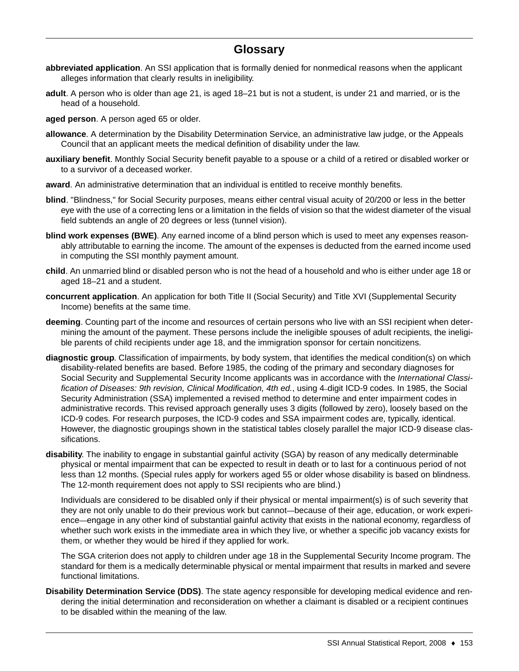## **Glossary**

- **abbreviated application**. An SSI application that is formally denied for nonmedical reasons when the applicant alleges information that clearly results in ineligibility.
- **adult**. A person who is older than age 21, is aged 18–21 but is not a student, is under 21 and married, or is the head of a household.

**aged person**. A person aged 65 or older.

- **allowance**. A determination by the Disability Determination Service, an administrative law judge, or the Appeals Council that an applicant meets the medical definition of disability under the law.
- **auxiliary benefit**. Monthly Social Security benefit payable to a spouse or a child of a retired or disabled worker or to a survivor of a deceased worker.
- **award**. An administrative determination that an individual is entitled to receive monthly benefits.
- **blind**. "Blindness," for Social Security purposes, means either central visual acuity of 20/200 or less in the better eye with the use of a correcting lens or a limitation in the fields of vision so that the widest diameter of the visual field subtends an angle of 20 degrees or less (tunnel vision).
- **blind work expenses (BWE)**. Any earned income of a blind person which is used to meet any expenses reasonably attributable to earning the income. The amount of the expenses is deducted from the earned income used in computing the SSI monthly payment amount.
- **child**. An unmarried blind or disabled person who is not the head of a household and who is either under age 18 or aged 18–21 and a student.
- **concurrent application**. An application for both Title II (Social Security) and Title XVI (Supplemental Security Income) benefits at the same time.
- **deeming**. Counting part of the income and resources of certain persons who live with an SSI recipient when determining the amount of the payment. These persons include the ineligible spouses of adult recipients, the ineligible parents of child recipients under age 18, and the immigration sponsor for certain noncitizens.
- **diagnostic group**. Classification of impairments, by body system, that identifies the medical condition(s) on which disability-related benefits are based. Before 1985, the coding of the primary and secondary diagnoses for Social Security and Supplemental Security Income applicants was in accordance with the *International Classification of Diseases: 9th revision, Clinical Modification, 4th ed.*, using 4–digit ICD-9 codes. In 1985, the Social Security Administration (SSA) implemented a revised method to determine and enter impairment codes in administrative records. This revised approach generally uses 3 digits (followed by zero), loosely based on the ICD-9 codes. For research purposes, the ICD-9 codes and SSA impairment codes are, typically, identical. However, the diagnostic groupings shown in the statistical tables closely parallel the major ICD-9 disease classifications.
- **disability**. The inability to engage in substantial gainful activity (SGA) by reason of any medically determinable physical or mental impairment that can be expected to result in death or to last for a continuous period of not less than 12 months. (Special rules apply for workers aged 55 or older whose disability is based on blindness. The 12-month requirement does not apply to SSI recipients who are blind.)

Individuals are considered to be disabled only if their physical or mental impairment(s) is of such severity that they are not only unable to do their previous work but cannot—because of their age, education, or work experience—engage in any other kind of substantial gainful activity that exists in the national economy, regardless of whether such work exists in the immediate area in which they live, or whether a specific job vacancy exists for them, or whether they would be hired if they applied for work.

The SGA criterion does not apply to children under age 18 in the Supplemental Security Income program. The standard for them is a medically determinable physical or mental impairment that results in marked and severe functional limitations.

**Disability Determination Service (DDS)**. The state agency responsible for developing medical evidence and rendering the initial determination and reconsideration on whether a claimant is disabled or a recipient continues to be disabled within the meaning of the law.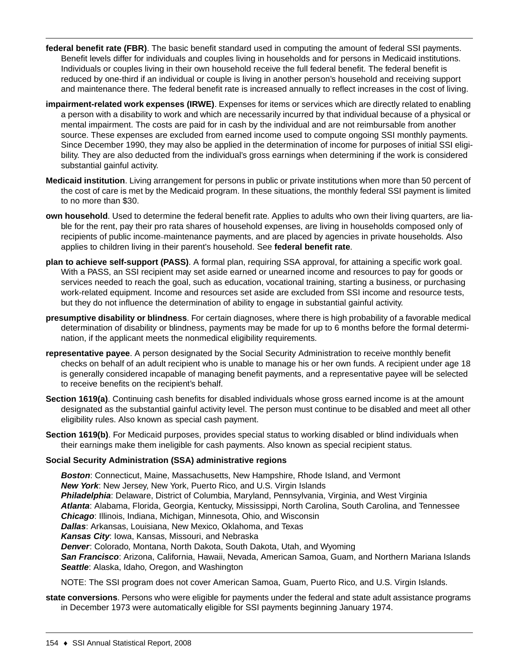- **federal benefit rate (FBR)**. The basic benefit standard used in computing the amount of federal SSI payments. Benefit levels differ for individuals and couples living in households and for persons in Medicaid institutions. Individuals or couples living in their own household receive the full federal benefit. The federal benefit is reduced by one-third if an individual or couple is living in another person's household and receiving support and maintenance there. The federal benefit rate is increased annually to reflect increases in the cost of living.
- **impairment-related work expenses (IRWE)**. Expenses for items or services which are directly related to enabling a person with a disability to work and which are necessarily incurred by that individual because of a physical or mental impairment. The costs are paid for in cash by the individual and are not reimbursable from another source. These expenses are excluded from earned income used to compute ongoing SSI monthly payments. Since December 1990, they may also be applied in the determination of income for purposes of initial SSI eligibility. They are also deducted from the individual's gross earnings when determining if the work is considered substantial gainful activity.
- **Medicaid institution**. Living arrangement for persons in public or private institutions when more than 50 percent of the cost of care is met by the Medicaid program. In these situations, the monthly federal SSI payment is limited to no more than \$30.
- **own household**. Used to determine the federal benefit rate. Applies to adults who own their living quarters, are liable for the rent, pay their pro rata shares of household expenses, are living in households composed only of recipients of public income–maintenance payments, and are placed by agencies in private households. Also applies to children living in their parent's household. See **federal benefit rate**.
- **plan to achieve self-support (PASS)**. A formal plan, requiring SSA approval, for attaining a specific work goal. With a PASS, an SSI recipient may set aside earned or unearned income and resources to pay for goods or services needed to reach the goal, such as education, vocational training, starting a business, or purchasing work-related equipment. Income and resources set aside are excluded from SSI income and resource tests, but they do not influence the determination of ability to engage in substantial gainful activity.
- **presumptive disability or blindness**. For certain diagnoses, where there is high probability of a favorable medical determination of disability or blindness, payments may be made for up to 6 months before the formal determination, if the applicant meets the nonmedical eligibility requirements.
- **representative payee**. A person designated by the Social Security Administration to receive monthly benefit checks on behalf of an adult recipient who is unable to manage his or her own funds. A recipient under age 18 is generally considered incapable of managing benefit payments, and a representative payee will be selected to receive benefits on the recipient's behalf.
- **Section 1619(a)**. Continuing cash benefits for disabled individuals whose gross earned income is at the amount designated as the substantial gainful activity level. The person must continue to be disabled and meet all other eligibility rules. Also known as special cash payment.
- **Section 1619(b)**. For Medicaid purposes, provides special status to working disabled or blind individuals when their earnings make them ineligible for cash payments. Also known as special recipient status.

## **Social Security Administration (SSA) administrative regions**

*Boston*: Connecticut, Maine, Massachusetts, New Hampshire, Rhode Island, and Vermont *New York*: New Jersey, New York, Puerto Rico, and U.S. Virgin Islands *Philadelphia*: Delaware, District of Columbia, Maryland, Pennsylvania, Virginia, and West Virginia *Atlanta*: Alabama, Florida, Georgia, Kentucky, Mississippi, North Carolina, South Carolina, and Tennessee *Chicago*: Illinois, Indiana, Michigan, Minnesota, Ohio, and Wisconsin *Dallas*: Arkansas, Louisiana, New Mexico, Oklahoma, and Texas *Kansas City*: Iowa, Kansas, Missouri, and Nebraska *Denver*: Colorado, Montana, North Dakota, South Dakota, Utah, and Wyoming *San Francisco*: Arizona, California, Hawaii, Nevada, American Samoa, Guam, and Northern Mariana Islands *Seattle*: Alaska, Idaho, Oregon, and Washington NOTE: The SSI program does not cover American Samoa, Guam, Puerto Rico, and U.S. Virgin Islands.

**state conversions**. Persons who were eligible for payments under the federal and state adult assistance programs in December 1973 were automatically eligible for SSI payments beginning January 1974.